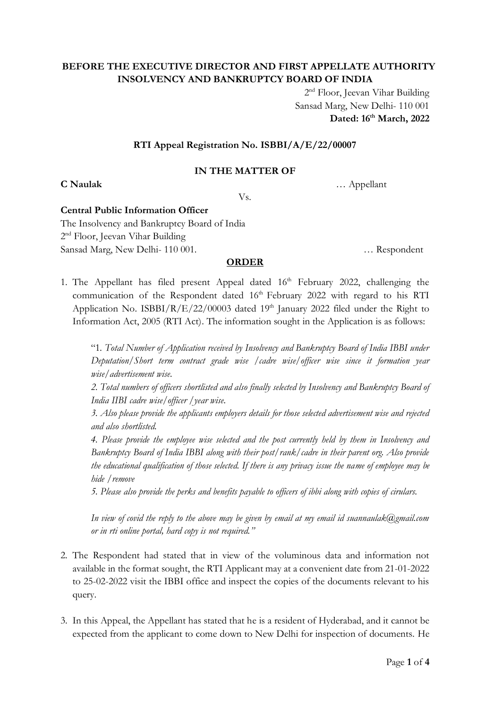# **BEFORE THE EXECUTIVE DIRECTOR AND FIRST APPELLATE AUTHORITY INSOLVENCY AND BANKRUPTCY BOARD OF INDIA**

2<sup>nd</sup> Floor, Jeevan Vihar Building Sansad Marg, New Delhi- 110 001 **Dated: 16 th March, 2022**

### **RTI Appeal Registration No. ISBBI/A/E/22/00007**

### **IN THE MATTER OF**

**C Naulak** … Appellant

Vs.

### **Central Public Information Officer**

The Insolvency and Bankruptcy Board of India 2<sup>nd</sup> Floor, Jeevan Vihar Building Sansad Marg, New Delhi- 110 001. … Respondent

## **ORDER**

1. The Appellant has filed present Appeal dated 16<sup>th</sup> February 2022, challenging the communication of the Respondent dated 16<sup>th</sup> February 2022 with regard to his RTI Application No. ISBBI/R/E/22/00003 dated 19<sup>th</sup> January 2022 filed under the Right to Information Act, 2005 (RTI Act). The information sought in the Application is as follows:

"1*. Total Number of Application received by Insolvency and Bankruptcy Board of India IBBI under Deputation/Short term contract grade wise /cadre wise/officer wise since it formation year wise/advertisement wise.*

*2. Total numbers of officers shortlisted and also finally selected by Insolvency and Bankruptcy Board of India IIBI cadre wise/officer /year wise.*

*3. Also please provide the applicants employers details for those selected advertisement wise and rejected and also shortlisted.*

*4. Please provide the employee wise selected and the post currently held by them in Insolvency and Bankruptcy Board of India IBBI along with their post/rank/cadre in their parent org. Also provide the educational qualification of those selected. If there is any privacy issue the name of employee may be hide /remove*

*5. Please also provide the perks and benefits payable to officers of ibbi along with copies of cirulars.*

*In view of covid the reply to the above may be given by email at my email id suannaulak@gmail.com or in rti online portal, hard copy is not required."*

- 2. The Respondent had stated that in view of the voluminous data and information not available in the format sought, the RTI Applicant may at a convenient date from 21-01-2022 to 25-02-2022 visit the IBBI office and inspect the copies of the documents relevant to his query.
- 3. In this Appeal, the Appellant has stated that he is a resident of Hyderabad, and it cannot be expected from the applicant to come down to New Delhi for inspection of documents. He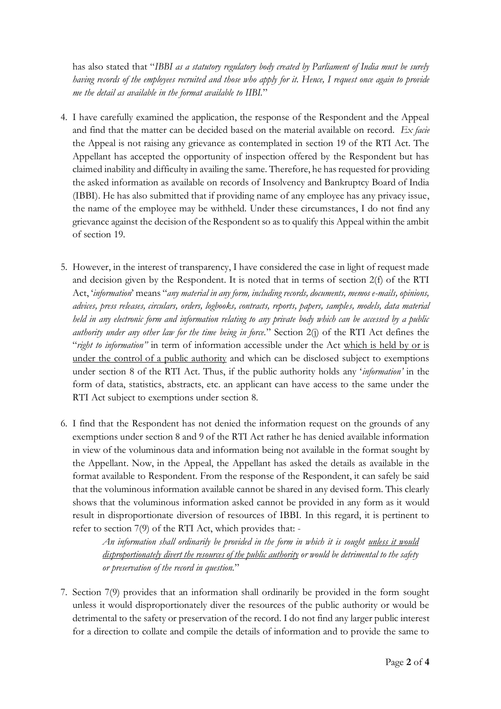has also stated that "*IBBI as a statutory regulatory body created by Parliament of India must be surely having records of the employees recruited and those who apply for it. Hence, I request once again to provide me the detail as available in the format available to IIBI.*"

- 4. I have carefully examined the application, the response of the Respondent and the Appeal and find that the matter can be decided based on the material available on record. *Ex facie* the Appeal is not raising any grievance as contemplated in section 19 of the RTI Act. The Appellant has accepted the opportunity of inspection offered by the Respondent but has claimed inability and difficulty in availing the same. Therefore, he has requested for providing the asked information as available on records of Insolvency and Bankruptcy Board of India (IBBI). He has also submitted that if providing name of any employee has any privacy issue, the name of the employee may be withheld. Under these circumstances, I do not find any grievance against the decision of the Respondent so as to qualify this Appeal within the ambit of section 19.
- 5. However, in the interest of transparency, I have considered the case in light of request made and decision given by the Respondent. It is noted that in terms of section 2(f) of the RTI Act, '*information*' means "*any material in any form, including records, documents, memos e-mails, opinions, advices, press releases, circulars, orders, logbooks, contracts, reports, papers, samples, models, data material held in any electronic form and information relating to any private body which can be accessed by a public authority under any other law for the time being in force.*" Section 2(j) of the RTI Act defines the "*right to information"* in term of information accessible under the Act which is held by or is under the control of a public authority and which can be disclosed subject to exemptions under section 8 of the RTI Act. Thus, if the public authority holds any '*information'* in the form of data, statistics, abstracts, etc. an applicant can have access to the same under the RTI Act subject to exemptions under section 8.
- 6. I find that the Respondent has not denied the information request on the grounds of any exemptions under section 8 and 9 of the RTI Act rather he has denied available information in view of the voluminous data and information being not available in the format sought by the Appellant. Now, in the Appeal, the Appellant has asked the details as available in the format available to Respondent. From the response of the Respondent, it can safely be said that the voluminous information available cannot be shared in any devised form. This clearly shows that the voluminous information asked cannot be provided in any form as it would result in disproportionate diversion of resources of IBBI. In this regard, it is pertinent to refer to section 7(9) of the RTI Act, which provides that: -

*An information shall ordinarily be provided in the form in which it is sought unless it would disproportionately divert the resources of the public authority or would be detrimental to the safety or preservation of the record in question.*"

7. Section 7(9) provides that an information shall ordinarily be provided in the form sought unless it would disproportionately diver the resources of the public authority or would be detrimental to the safety or preservation of the record. I do not find any larger public interest for a direction to collate and compile the details of information and to provide the same to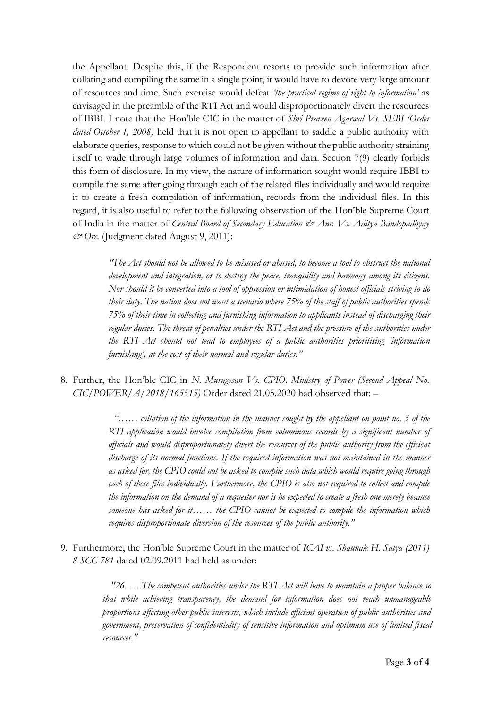the Appellant. Despite this, if the Respondent resorts to provide such information after collating and compiling the same in a single point, it would have to devote very large amount of resources and time. Such exercise would defeat *'the practical regime of right to information'* as envisaged in the preamble of the RTI Act and would disproportionately divert the resources of IBBI. I note that the Hon'ble CIC in the matter of *Shri Praveen Agarwal Vs. SEBI (Order dated October 1, 2008)* held that it is not open to appellant to saddle a public authority with elaborate queries, response to which could not be given without the public authority straining itself to wade through large volumes of information and data. Section 7(9) clearly forbids this form of disclosure. In my view, the nature of information sought would require IBBI to compile the same after going through each of the related files individually and would require it to create a fresh compilation of information, records from the individual files. In this regard, it is also useful to refer to the following observation of the Hon'ble Supreme Court of India in the matter of *Central Board of Secondary Education & Anr. Vs. Aditya Bandopadhyay & Ors.* (Judgment dated August 9, 2011):

*"The Act should not be allowed to be misused or abused, to become a tool to obstruct the national development and integration, or to destroy the peace, tranquility and harmony among its citizens. Nor should it be converted into a tool of oppression or intimidation of honest officials striving to do their duty. The nation does not want a scenario where 75% of the staff of public authorities spends 75% of their time in collecting and furnishing information to applicants instead of discharging their regular duties. The threat of penalties under the RTI Act and the pressure of the authorities under the RTI Act should not lead to employees of a public authorities prioritising 'information furnishing', at the cost of their normal and regular duties."*

8. Further, the Hon'ble CIC in *N. Murugesan Vs. CPIO, Ministry of Power (Second Appeal No. CIC/POWER/A/2018/165515)* Order dated 21.05.2020 had observed that: –

> *"…… collation of the information in the manner sought by the appellant on point no. 3 of the RTI application would involve compilation from voluminous records by a significant number of officials and would disproportionately divert the resources of the public authority from the efficient discharge of its normal functions. If the required information was not maintained in the manner as asked for, the CPIO could not be asked to compile such data which would require going through*  each of these files individually. Furthermore, the CPIO is also not required to collect and compile *the information on the demand of a requester nor is he expected to create a fresh one merely because someone has asked for it…… the CPIO cannot be expected to compile the information which requires disproportionate diversion of the resources of the public authority."*

9. Furthermore, the Hon'ble Supreme Court in the matter of *ICAI vs. Shaunak H. Satya (2011) 8 SCC 781* dated 02.09.2011 had held as under:

> *"26. ….The competent authorities under the RTI Act will have to maintain a proper balance so that while achieving transparency, the demand for information does not reach unmanageable proportions affecting other public interests, which include efficient operation of public authorities and government, preservation of confidentiality of sensitive information and optimum use of limited fiscal resources."*